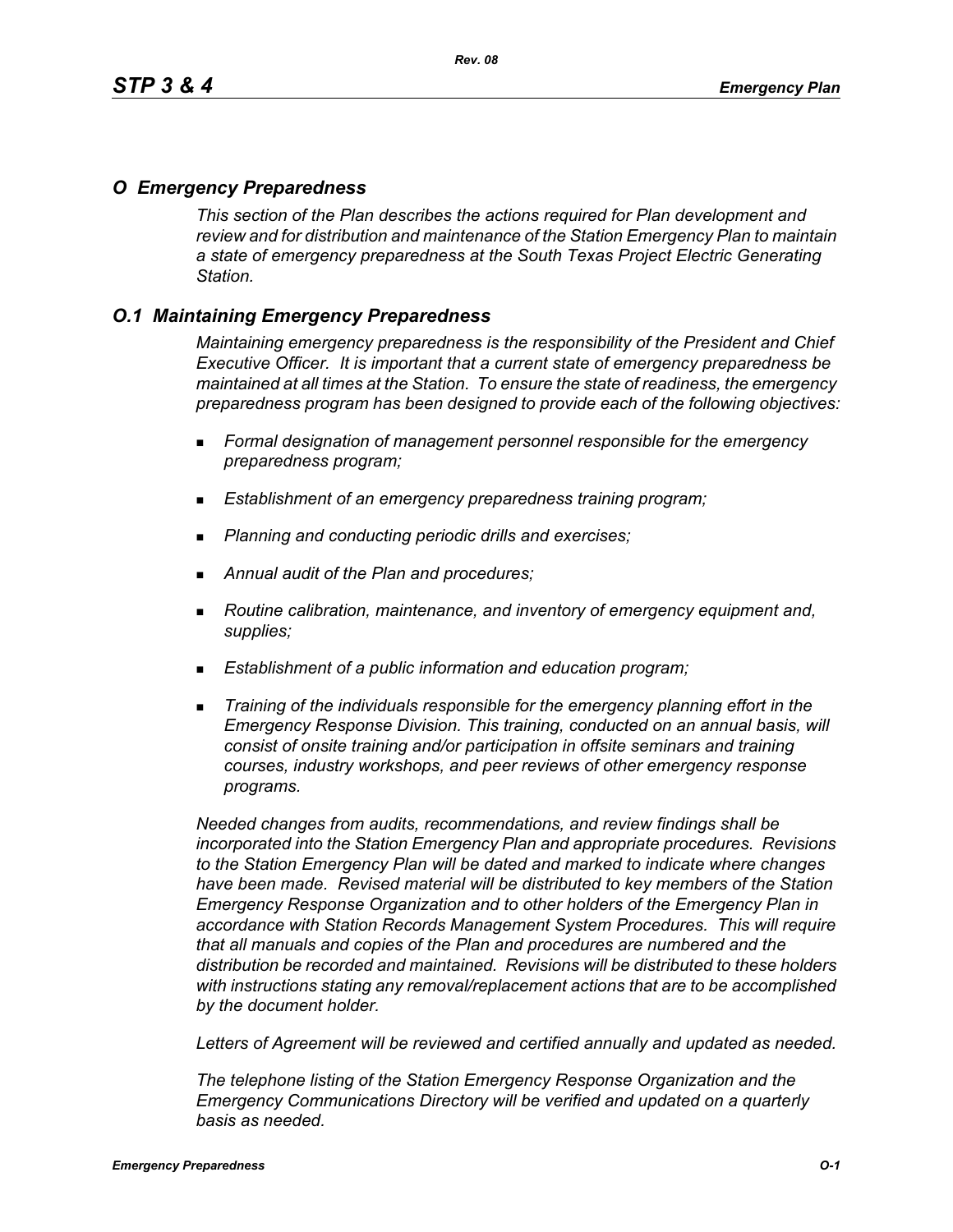# *O Emergency Preparedness*

*This section of the Plan describes the actions required for Plan development and review and for distribution and maintenance of the Station Emergency Plan to maintain a state of emergency preparedness at the South Texas Project Electric Generating Station.*

# *O.1 Maintaining Emergency Preparedness*

*Maintaining emergency preparedness is the responsibility of the President and Chief Executive Officer. It is important that a current state of emergency preparedness be maintained at all times at the Station. To ensure the state of readiness, the emergency preparedness program has been designed to provide each of the following objectives:*

- *Formal designation of management personnel responsible for the emergency preparedness program;*
- *Establishment of an emergency preparedness training program;*
- *Planning and conducting periodic drills and exercises;*
- *Annual audit of the Plan and procedures;*
- *Routine calibration, maintenance, and inventory of emergency equipment and, supplies;*
- *Establishment of a public information and education program;*
- *Training of the individuals responsible for the emergency planning effort in the Emergency Response Division. This training, conducted on an annual basis, will consist of onsite training and/or participation in offsite seminars and training courses, industry workshops, and peer reviews of other emergency response programs.*

*Needed changes from audits, recommendations, and review findings shall be incorporated into the Station Emergency Plan and appropriate procedures. Revisions to the Station Emergency Plan will be dated and marked to indicate where changes have been made. Revised material will be distributed to key members of the Station Emergency Response Organization and to other holders of the Emergency Plan in accordance with Station Records Management System Procedures. This will require that all manuals and copies of the Plan and procedures are numbered and the distribution be recorded and maintained. Revisions will be distributed to these holders with instructions stating any removal/replacement actions that are to be accomplished by the document holder.*

*Letters of Agreement will be reviewed and certified annually and updated as needed.*

*The telephone listing of the Station Emergency Response Organization and the Emergency Communications Directory will be verified and updated on a quarterly basis as needed.*